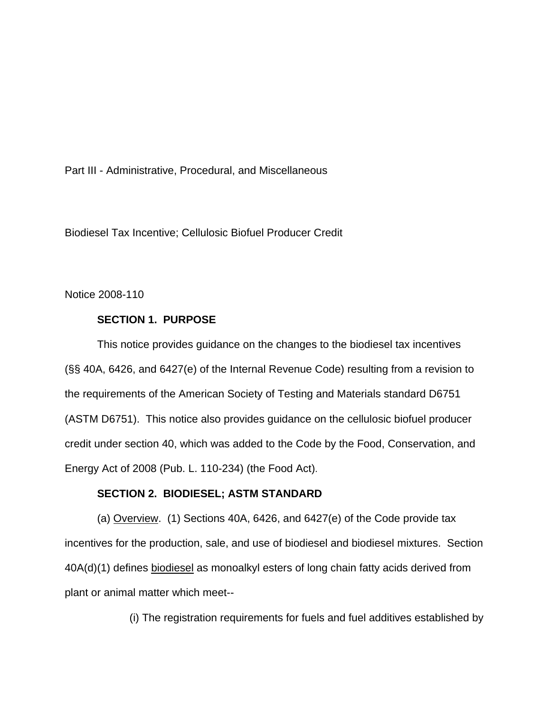Part III - Administrative, Procedural, and Miscellaneous

Biodiesel Tax Incentive; Cellulosic Biofuel Producer Credit

Notice 2008-110

## **SECTION 1. PURPOSE**

This notice provides guidance on the changes to the biodiesel tax incentives (§§ 40A, 6426, and 6427(e) of the Internal Revenue Code) resulting from a revision to the requirements of the American Society of Testing and Materials standard D6751 (ASTM D6751). This notice also provides guidance on the cellulosic biofuel producer credit under section 40, which was added to the Code by the Food, Conservation, and Energy Act of 2008 (Pub. L. 110-234) (the Food Act).

## **SECTION 2. BIODIESEL; ASTM STANDARD**

(a) Overview. (1) Sections 40A, 6426, and 6427(e) of the Code provide tax incentives for the production, sale, and use of biodiesel and biodiesel mixtures. Section 40A(d)(1) defines biodiesel as monoalkyl esters of long chain fatty acids derived from plant or animal matter which meet--

(i) The registration requirements for fuels and fuel additives established by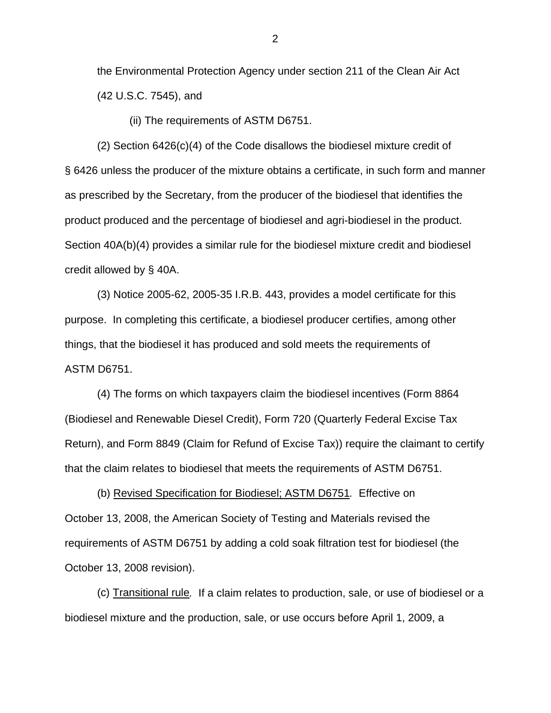the Environmental Protection Agency under section 211 of the Clean Air Act (42 U.S.C. 7545), and

(ii) The requirements of ASTM D6751.

 (2) Section 6426(c)(4) of the Code disallows the biodiesel mixture credit of § 6426 unless the producer of the mixture obtains a certificate, in such form and manner as prescribed by the Secretary, from the producer of the biodiesel that identifies the product produced and the percentage of biodiesel and agri-biodiesel in the product. Section 40A(b)(4) provides a similar rule for the biodiesel mixture credit and biodiesel credit allowed by § 40A.

(3) Notice 2005-62, 2005-35 I.R.B. 443, provides a model certificate for this purpose. In completing this certificate, a biodiesel producer certifies, among other things, that the biodiesel it has produced and sold meets the requirements of ASTM D6751.

(4) The forms on which taxpayers claim the biodiesel incentives (Form 8864 (Biodiesel and Renewable Diesel Credit), Form 720 (Quarterly Federal Excise Tax Return), and Form 8849 (Claim for Refund of Excise Tax)) require the claimant to certify that the claim relates to biodiesel that meets the requirements of ASTM D6751.

(b) Revised Specification for Biodiesel; ASTM D6751*.* Effective on October 13, 2008, the American Society of Testing and Materials revised the requirements of ASTM D6751 by adding a cold soak filtration test for biodiesel (the October 13, 2008 revision).

(c) Transitional rule*.* If a claim relates to production, sale, or use of biodiesel or a biodiesel mixture and the production, sale, or use occurs before April 1, 2009, a

2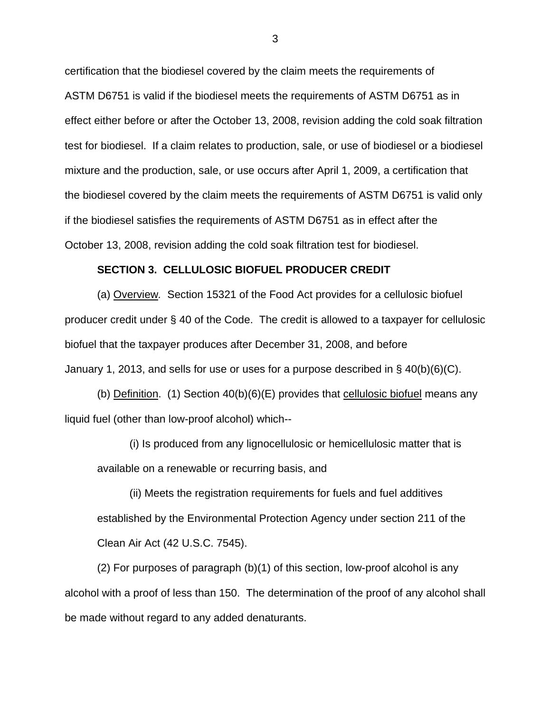certification that the biodiesel covered by the claim meets the requirements of ASTM D6751 is valid if the biodiesel meets the requirements of ASTM D6751 as in effect either before or after the October 13, 2008, revision adding the cold soak filtration test for biodiesel. If a claim relates to production, sale, or use of biodiesel or a biodiesel mixture and the production, sale, or use occurs after April 1, 2009, a certification that the biodiesel covered by the claim meets the requirements of ASTM D6751 is valid only if the biodiesel satisfies the requirements of ASTM D6751 as in effect after the October 13, 2008, revision adding the cold soak filtration test for biodiesel.

## **SECTION 3. CELLULOSIC BIOFUEL PRODUCER CREDIT**

(a) Overview*.* Section 15321 of the Food Act provides for a cellulosic biofuel producer credit under § 40 of the Code. The credit is allowed to a taxpayer for cellulosic biofuel that the taxpayer produces after December 31, 2008, and before January 1, 2013, and sells for use or uses for a purpose described in § 40(b)(6)(C).

(b) Definition. (1) Section  $40(b)(6)(E)$  provides that cellulosic biofuel means any liquid fuel (other than low-proof alcohol) which--

(i) Is produced from any lignocellulosic or hemicellulosic matter that is available on a renewable or recurring basis, and

(ii) Meets the registration requirements for fuels and fuel additives established by the Environmental Protection Agency under section 211 of the Clean Air Act (42 U.S.C. 7545).

(2) For purposes of paragraph (b)(1) of this section, low-proof alcohol is any alcohol with a proof of less than 150. The determination of the proof of any alcohol shall be made without regard to any added denaturants.